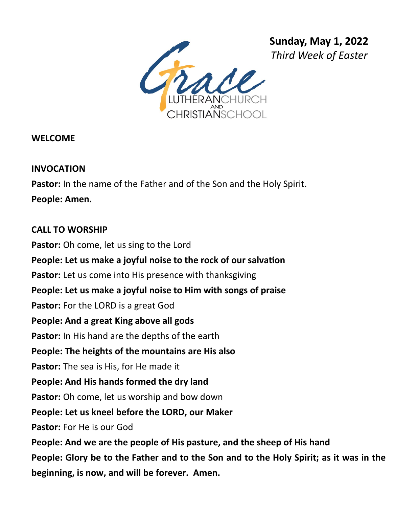

**WELCOME** 

## **INVOCATION**

**Pastor:** In the name of the Father and of the Son and the Holy Spirit. **People: Amen.**

#### **CALL TO WORSHIP**

**Pastor:** Oh come, let us sing to the Lord **People: Let us make a joyful noise to the rock of our salvation** Pastor: Let us come into His presence with thanksgiving **People: Let us make a joyful noise to Him with songs of praise Pastor:** For the LORD is a great God **People: And a great King above all gods Pastor:** In His hand are the depths of the earth **People: The heights of the mountains are His also Pastor:** The sea is His, for He made it **People: And His hands formed the dry land Pastor:** Oh come, let us worship and bow down **People: Let us kneel before the LORD, our Maker Pastor:** For He is our God **People: And we are the people of His pasture, and the sheep of His hand People: Glory be to the Father and to the Son and to the Holy Spirit; as it was in the beginning, is now, and will be forever. Amen.**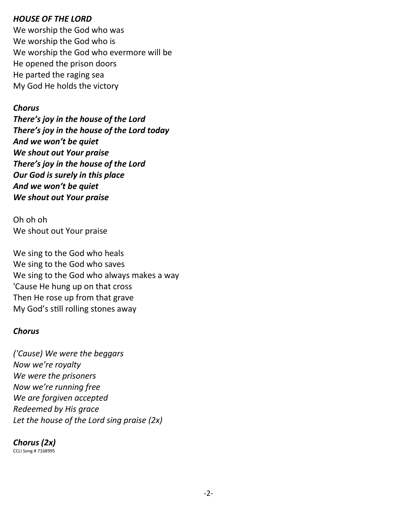#### *HOUSE OF THE LORD*

We worship the God who was We worship the God who is We worship the God who evermore will be He opened the prison doors He parted the raging sea My God He holds the victory

#### *Chorus*

*There's joy in the house of the Lord There's joy in the house of the Lord today And we won't be quiet We shout out Your praise There's joy in the house of the Lord Our God is surely in this place And we won't be quiet We shout out Your praise*

Oh oh oh We shout out Your praise

We sing to the God who heals We sing to the God who saves We sing to the God who always makes a way 'Cause He hung up on that cross Then He rose up from that grave My God's still rolling stones away

#### *Chorus*

*('Cause) We were the beggars Now we're royalty We were the prisoners Now we're running free We are forgiven accepted Redeemed by His grace Let the house of the Lord sing praise (2x)*

# *Chorus (2x)*

CCLI Song # 7168995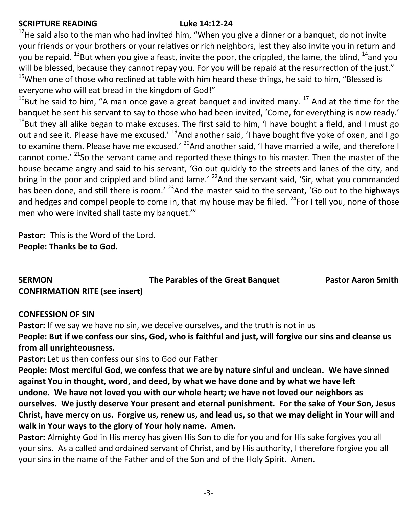#### **SCRIPTURE READING Luke 14:12-24**

 $12$ He said also to the man who had invited him, "When you give a dinner or a banquet, do not invite your friends or your brothers or your relatives or rich neighbors, lest they also invite you in return and you be repaid.  $^{13}$ But when you give a feast, invite the poor, the crippled, the lame, the blind,  $^{14}$ and you will be blessed, because they cannot repay you. For you will be repaid at the resurrection of the just."  $15$ When one of those who reclined at table with him heard these things, he said to him, "Blessed is everyone who will eat bread in the kingdom of God!"

 $16$ But he said to him, "A man once gave a great banquet and invited many.  $17$  And at the time for the banquet he sent his servant to say to those who had been invited, 'Come, for everything is now ready.'  $18$ But they all alike began to make excuses. The first said to him, 'I have bought a field, and I must go out and see it. Please have me excused.' <sup>19</sup>And another said, 'I have bought five yoke of oxen, and I go to examine them. Please have me excused.' <sup>20</sup>And another said, 'I have married a wife, and therefore I cannot come.' <sup>21</sup>So the servant came and reported these things to his master. Then the master of the house became angry and said to his servant, 'Go out quickly to the streets and lanes of the city, and bring in the poor and crippled and blind and lame.' <sup>22</sup>And the servant said, 'Sir, what you commanded has been done, and still there is room.<sup>' 23</sup>And the master said to the servant, 'Go out to the highways and hedges and compel people to come in, that my house may be filled. <sup>24</sup>For I tell you, none of those men who were invited shall taste my banquet.'"

**Pastor:** This is the Word of the Lord. **People: Thanks be to God.**

## **SERMON The Parables of the Great Banquet Pastor Aaron Smith CONFIRMATION RITE (see insert)**

#### **CONFESSION OF SIN**

Pastor: If we say we have no sin, we deceive ourselves, and the truth is not in us **People: But if we confess our sins, God, who is faithful and just, will forgive our sins and cleanse us from all unrighteousness.**

**Pastor:** Let us then confess our sins to God our Father

**People: Most merciful God, we confess that we are by nature sinful and unclean. We have sinned against You in thought, word, and deed, by what we have done and by what we have left undone. We have not loved you with our whole heart; we have not loved our neighbors as ourselves. We justly deserve Your present and eternal punishment. For the sake of Your Son, Jesus Christ, have mercy on us. Forgive us, renew us, and lead us, so that we may delight in Your will and walk in Your ways to the glory of Your holy name. Amen.**

**Pastor:** Almighty God in His mercy has given His Son to die for you and for His sake forgives you all your sins. As a called and ordained servant of Christ, and by His authority, I therefore forgive you all your sins in the name of the Father and of the Son and of the Holy Spirit. Amen.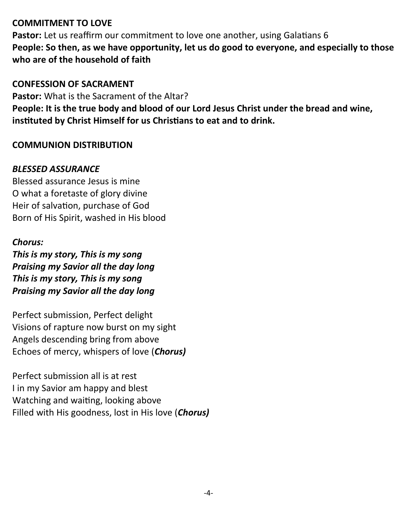## **COMMITMENT TO LOVE**

**Pastor:** Let us reaffirm our commitment to love one another, using Galatians 6 **People: So then, as we have opportunity, let us do good to everyone, and especially to those who are of the household of faith** 

#### **CONFESSION OF SACRAMENT**

**Pastor:** What is the Sacrament of the Altar? **People: It is the true body and blood of our Lord Jesus Christ under the bread and wine, instituted by Christ Himself for us Christians to eat and to drink.** 

## **COMMUNION DISTRIBUTION**

#### *BLESSED ASSURANCE*

Blessed assurance Jesus is mine O what a foretaste of glory divine Heir of salvation, purchase of God Born of His Spirit, washed in His blood

#### *Chorus:*

*This is my story, This is my song Praising my Savior all the day long This is my story, This is my song Praising my Savior all the day long*

Perfect submission, Perfect delight Visions of rapture now burst on my sight Angels descending bring from above Echoes of mercy, whispers of love (*Chorus)*

Perfect submission all is at rest I in my Savior am happy and blest Watching and waiting, looking above Filled with His goodness, lost in His love (*Chorus)*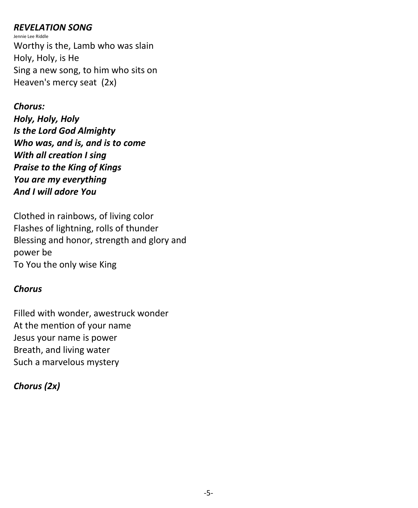#### *REVELATION SONG*

Jennie Lee Riddle Worthy is the, Lamb who was slain Holy, Holy, is He Sing a new song, to him who sits on Heaven's mercy seat (2x)

*Chorus: Holy, Holy, Holy Is the Lord God Almighty Who was, and is, and is to come With all creation I sing Praise to the King of Kings You are my everything And I will adore You* 

Clothed in rainbows, of living color Flashes of lightning, rolls of thunder Blessing and honor, strength and glory and power be To You the only wise King

# *Chorus*

Filled with wonder, awestruck wonder At the mention of your name Jesus your name is power Breath, and living water Such a marvelous mystery

# *Chorus (2x)*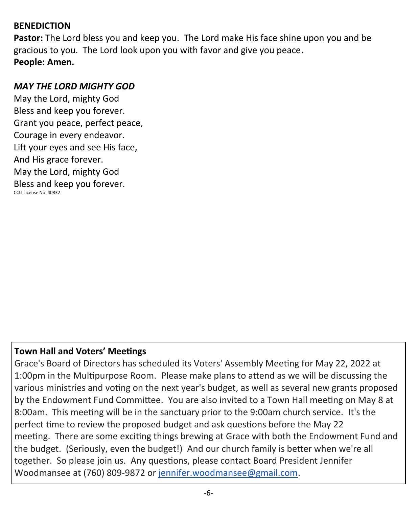#### **BENEDICTION**

**Pastor:** The Lord bless you and keep you. The Lord make His face shine upon you and be gracious to you. The Lord look upon you with favor and give you peace**. People: Amen.**

#### *MAY THE LORD MIGHTY GOD*

May the Lord, mighty God Bless and keep you forever. Grant you peace, perfect peace, Courage in every endeavor. Lift your eyes and see His face, And His grace forever. May the Lord, mighty God Bless and keep you forever. CCLI License No. 40832

## **Town Hall and Voters' Meetings**

Grace's Board of Directors has scheduled its Voters' Assembly Meeting for May 22, 2022 at 1:00pm in the Multipurpose Room. Please make plans to attend as we will be discussing the various ministries and voting on the next year's budget, as well as several new grants proposed by the Endowment Fund Committee. You are also invited to a Town Hall meeting on May 8 at 8:00am. This meeting will be in the sanctuary prior to the 9:00am church service. It's the perfect time to review the proposed budget and ask questions before the May 22 meeting. There are some exciting things brewing at Grace with both the Endowment Fund and the budget. (Seriously, even the budget!) And our church family is better when we're all together. So please join us. Any questions, please contact Board President Jennifer Woodmansee at (760) 809-9872 or [jennifer.woodmansee@gmail.com.](mailto:jennifer.woodmansee@gmail.com)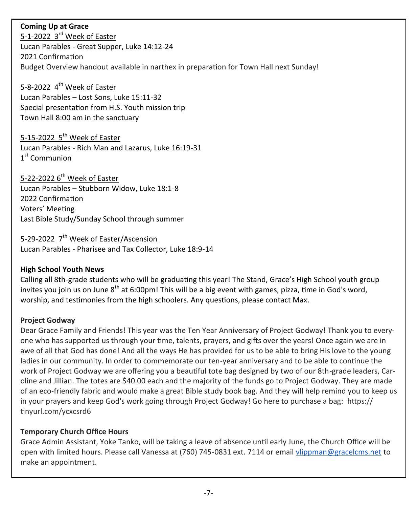#### **Coming Up at Grace**

5-1-2022 3<sup>rd</sup> Week of Easter Lucan Parables - Great Supper, Luke 14:12-24 2021 Confirmation Budget Overview handout available in narthex in preparation for Town Hall next Sunday!

## 5-8-2022 4<sup>th</sup> Week of Easter

Lucan Parables – Lost Sons, Luke 15:11-32 Special presentation from H.S. Youth mission trip Town Hall 8:00 am in the sanctuary

#### 5-15-2022 5<sup>th</sup> Week of Easter

Lucan Parables - Rich Man and Lazarus, Luke 16:19-31 1st Communion

## 5-22-2022  $6<sup>th</sup>$  Week of Easter

Lucan Parables – Stubborn Widow, Luke 18:1-8 2022 Confirmation Voters' Meeting

Last Bible Study/Sunday School through summer

# 5-29-2022 7<sup>th</sup> Week of Easter/Ascension

Lucan Parables - Pharisee and Tax Collector, Luke 18:9-14

#### **High School Youth News**

Calling all 8th-grade students who will be graduating this year! The Stand, Grace's High School youth group invites you join us on June 8<sup>th</sup> at 6:00pm! This will be a big event with games, pizza, time in God's word, worship, and testimonies from the high schoolers. Any questions, please contact Max.

#### **Project Godway**

Dear Grace Family and Friends! This year was the Ten Year Anniversary of Project Godway! Thank you to everyone who has supported us through your time, talents, prayers, and gifts over the years! Once again we are in awe of all that God has done! And all the ways He has provided for us to be able to bring His love to the young ladies in our community. In order to commemorate our ten-year anniversary and to be able to continue the work of Project Godway we are offering you a beautiful tote bag designed by two of our 8th-grade leaders, Caroline and Jillian. The totes are \$40.00 each and the majority of the funds go to Project Godway. They are made of an eco-friendly fabric and would make a great Bible study book bag. And they will help remind you to keep us in your prayers and keep God's work going through Project Godway! Go here to purchase a bag: https:// tinyurl.com/ycxcsrd6

#### **Temporary Church Office Hours**

Grace Admin Assistant, Yoke Tanko, will be taking a leave of absence until early June, the Church Office will be open with limited hours. Please call Vanessa at (760) 745-0831 ext. 7114 or email [vlippman@gracelcms.net](mailto:vlippman@gracelcms.net) to make an appointment.